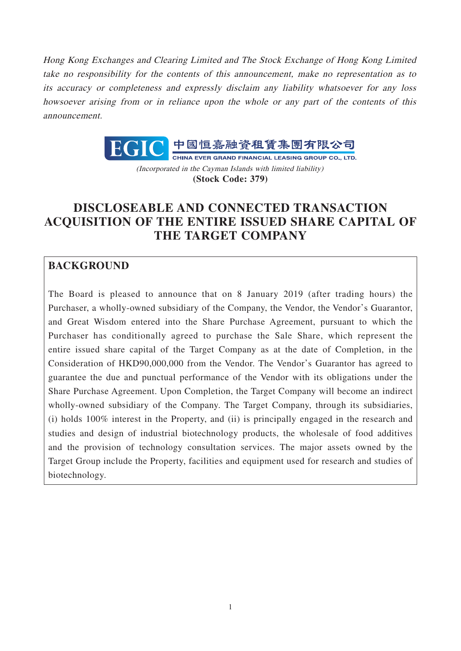Hong Kong Exchanges and Clearing Limited and The Stock Exchange of Hong Kong Limited take no responsibility for the contents of this announcement, make no representation as to its accuracy or completeness and expressly disclaim any liability whatsoever for any loss howsoever arising from or in reliance upon the whole or any part of the contents of this announcement.



(Incorporated in the Cayman Islands with limited liability) **(Stock Code: 379)**

# **DISCLOSEABLE AND CONNECTED TRANSACTION ACQUISITION OF THE ENTIRE ISSUED SHARE CAPITAL OF THE TARGET COMPANY**

## **BACKGROUND**

The Board is pleased to announce that on 8 January 2019 (after trading hours) the Purchaser, a wholly-owned subsidiary of the Company, the Vendor, the Vendor's Guarantor, and Great Wisdom entered into the Share Purchase Agreement, pursuant to which the Purchaser has conditionally agreed to purchase the Sale Share, which represent the entire issued share capital of the Target Company as at the date of Completion, in the Consideration of HKD90,000,000 from the Vendor. The Vendor's Guarantor has agreed to guarantee the due and punctual performance of the Vendor with its obligations under the Share Purchase Agreement. Upon Completion, the Target Company will become an indirect wholly-owned subsidiary of the Company. The Target Company, through its subsidiaries, (i) holds 100% interest in the Property, and (ii) is principally engaged in the research and studies and design of industrial biotechnology products, the wholesale of food additives and the provision of technology consultation services. The major assets owned by the Target Group include the Property, facilities and equipment used for research and studies of biotechnology.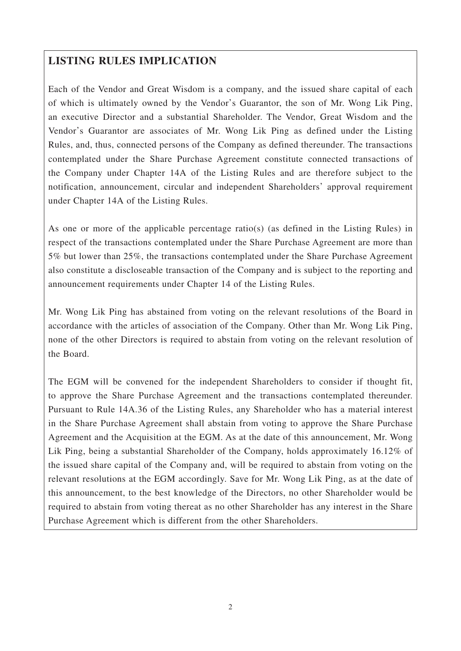## **LISTING RULES IMPLICATION**

Each of the Vendor and Great Wisdom is a company, and the issued share capital of each of which is ultimately owned by the Vendor's Guarantor, the son of Mr. Wong Lik Ping, an executive Director and a substantial Shareholder. The Vendor, Great Wisdom and the Vendor's Guarantor are associates of Mr. Wong Lik Ping as defined under the Listing Rules, and, thus, connected persons of the Company as defined thereunder. The transactions contemplated under the Share Purchase Agreement constitute connected transactions of the Company under Chapter 14A of the Listing Rules and are therefore subject to the notification, announcement, circular and independent Shareholders' approval requirement under Chapter 14A of the Listing Rules.

As one or more of the applicable percentage ratio(s) (as defined in the Listing Rules) in respect of the transactions contemplated under the Share Purchase Agreement are more than 5% but lower than 25%, the transactions contemplated under the Share Purchase Agreement also constitute a discloseable transaction of the Company and is subject to the reporting and announcement requirements under Chapter 14 of the Listing Rules.

Mr. Wong Lik Ping has abstained from voting on the relevant resolutions of the Board in accordance with the articles of association of the Company. Other than Mr. Wong Lik Ping, none of the other Directors is required to abstain from voting on the relevant resolution of the Board.

The EGM will be convened for the independent Shareholders to consider if thought fit, to approve the Share Purchase Agreement and the transactions contemplated thereunder. Pursuant to Rule 14A.36 of the Listing Rules, any Shareholder who has a material interest in the Share Purchase Agreement shall abstain from voting to approve the Share Purchase Agreement and the Acquisition at the EGM. As at the date of this announcement, Mr. Wong Lik Ping, being a substantial Shareholder of the Company, holds approximately 16.12% of the issued share capital of the Company and, will be required to abstain from voting on the relevant resolutions at the EGM accordingly. Save for Mr. Wong Lik Ping, as at the date of this announcement, to the best knowledge of the Directors, no other Shareholder would be required to abstain from voting thereat as no other Shareholder has any interest in the Share Purchase Agreement which is different from the other Shareholders.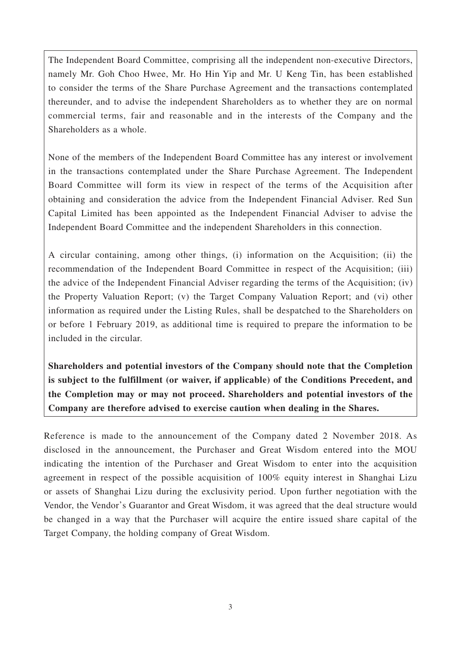The Independent Board Committee, comprising all the independent non-executive Directors, namely Mr. Goh Choo Hwee, Mr. Ho Hin Yip and Mr. U Keng Tin, has been established to consider the terms of the Share Purchase Agreement and the transactions contemplated thereunder, and to advise the independent Shareholders as to whether they are on normal commercial terms, fair and reasonable and in the interests of the Company and the Shareholders as a whole.

None of the members of the Independent Board Committee has any interest or involvement in the transactions contemplated under the Share Purchase Agreement. The Independent Board Committee will form its view in respect of the terms of the Acquisition after obtaining and consideration the advice from the Independent Financial Adviser. Red Sun Capital Limited has been appointed as the Independent Financial Adviser to advise the Independent Board Committee and the independent Shareholders in this connection.

A circular containing, among other things, (i) information on the Acquisition; (ii) the recommendation of the Independent Board Committee in respect of the Acquisition; (iii) the advice of the Independent Financial Adviser regarding the terms of the Acquisition; (iv) the Property Valuation Report; (v) the Target Company Valuation Report; and (vi) other information as required under the Listing Rules, shall be despatched to the Shareholders on or before 1 February 2019, as additional time is required to prepare the information to be included in the circular.

**Shareholders and potential investors of the Company should note that the Completion is subject to the fulfillment (or waiver, if applicable) of the Conditions Precedent, and the Completion may or may not proceed. Shareholders and potential investors of the Company are therefore advised to exercise caution when dealing in the Shares.**

Reference is made to the announcement of the Company dated 2 November 2018. As disclosed in the announcement, the Purchaser and Great Wisdom entered into the MOU indicating the intention of the Purchaser and Great Wisdom to enter into the acquisition agreement in respect of the possible acquisition of 100% equity interest in Shanghai Lizu or assets of Shanghai Lizu during the exclusivity period. Upon further negotiation with the Vendor, the Vendor's Guarantor and Great Wisdom, it was agreed that the deal structure would be changed in a way that the Purchaser will acquire the entire issued share capital of the Target Company, the holding company of Great Wisdom.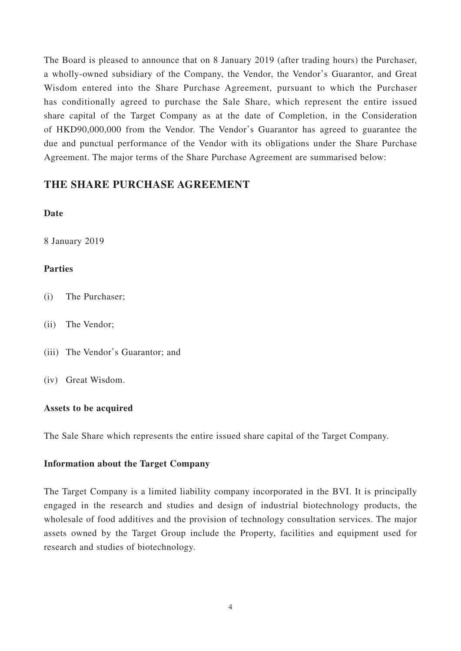The Board is pleased to announce that on 8 January 2019 (after trading hours) the Purchaser, a wholly-owned subsidiary of the Company, the Vendor, the Vendor's Guarantor, and Great Wisdom entered into the Share Purchase Agreement, pursuant to which the Purchaser has conditionally agreed to purchase the Sale Share, which represent the entire issued share capital of the Target Company as at the date of Completion, in the Consideration of HKD90,000,000 from the Vendor. The Vendor's Guarantor has agreed to guarantee the due and punctual performance of the Vendor with its obligations under the Share Purchase Agreement. The major terms of the Share Purchase Agreement are summarised below:

### **THE SHARE PURCHASE AGREEMENT**

#### **Date**

8 January 2019

#### **Parties**

- (i) The Purchaser;
- (ii) The Vendor;
- (iii) The Vendor's Guarantor; and
- (iv) Great Wisdom.

#### **Assets to be acquired**

The Sale Share which represents the entire issued share capital of the Target Company.

#### **Information about the Target Company**

The Target Company is a limited liability company incorporated in the BVI. It is principally engaged in the research and studies and design of industrial biotechnology products, the wholesale of food additives and the provision of technology consultation services. The major assets owned by the Target Group include the Property, facilities and equipment used for research and studies of biotechnology.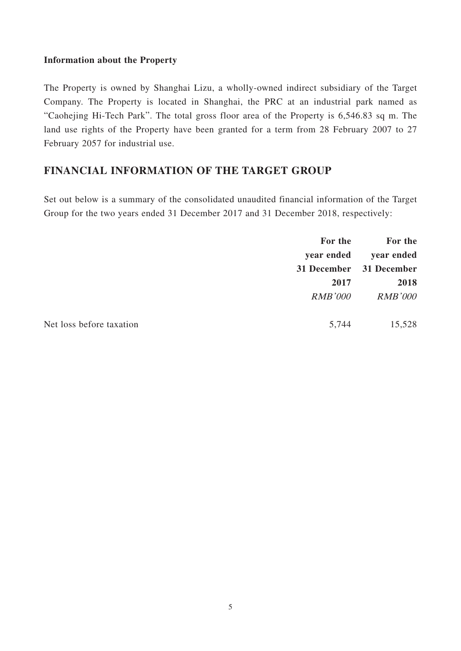#### **Information about the Property**

The Property is owned by Shanghai Lizu, a wholly-owned indirect subsidiary of the Target Company. The Property is located in Shanghai, the PRC at an industrial park named as "Caohejing Hi-Tech Park". The total gross floor area of the Property is 6,546.83 sq m. The land use rights of the Property have been granted for a term from 28 February 2007 to 27 February 2057 for industrial use.

### **FINANCIAL INFORMATION OF THE TARGET GROUP**

Set out below is a summary of the consolidated unaudited financial information of the Target Group for the two years ended 31 December 2017 and 31 December 2018, respectively:

|                          | For the        | For the                 |
|--------------------------|----------------|-------------------------|
|                          | year ended     | year ended              |
|                          |                | 31 December 31 December |
|                          | 2017           | 2018                    |
|                          | <b>RMB'000</b> | <b>RMB'000</b>          |
| Net loss before taxation | 5,744          | 15,528                  |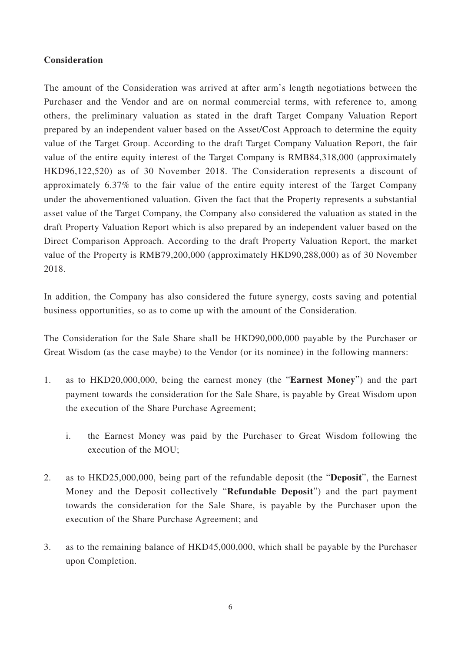#### **Consideration**

The amount of the Consideration was arrived at after arm's length negotiations between the Purchaser and the Vendor and are on normal commercial terms, with reference to, among others, the preliminary valuation as stated in the draft Target Company Valuation Report prepared by an independent valuer based on the Asset/Cost Approach to determine the equity value of the Target Group. According to the draft Target Company Valuation Report, the fair value of the entire equity interest of the Target Company is RMB84,318,000 (approximately HKD96,122,520) as of 30 November 2018. The Consideration represents a discount of approximately 6.37% to the fair value of the entire equity interest of the Target Company under the abovementioned valuation. Given the fact that the Property represents a substantial asset value of the Target Company, the Company also considered the valuation as stated in the draft Property Valuation Report which is also prepared by an independent valuer based on the Direct Comparison Approach. According to the draft Property Valuation Report, the market value of the Property is RMB79,200,000 (approximately HKD90,288,000) as of 30 November 2018.

In addition, the Company has also considered the future synergy, costs saving and potential business opportunities, so as to come up with the amount of the Consideration.

The Consideration for the Sale Share shall be HKD90,000,000 payable by the Purchaser or Great Wisdom (as the case maybe) to the Vendor (or its nominee) in the following manners:

- 1. as to HKD20,000,000, being the earnest money (the "**Earnest Money**") and the part payment towards the consideration for the Sale Share, is payable by Great Wisdom upon the execution of the Share Purchase Agreement;
	- i. the Earnest Money was paid by the Purchaser to Great Wisdom following the execution of the MOU;
- 2. as to HKD25,000,000, being part of the refundable deposit (the "**Deposit**", the Earnest Money and the Deposit collectively "**Refundable Deposit**") and the part payment towards the consideration for the Sale Share, is payable by the Purchaser upon the execution of the Share Purchase Agreement; and
- 3. as to the remaining balance of HKD45,000,000, which shall be payable by the Purchaser upon Completion.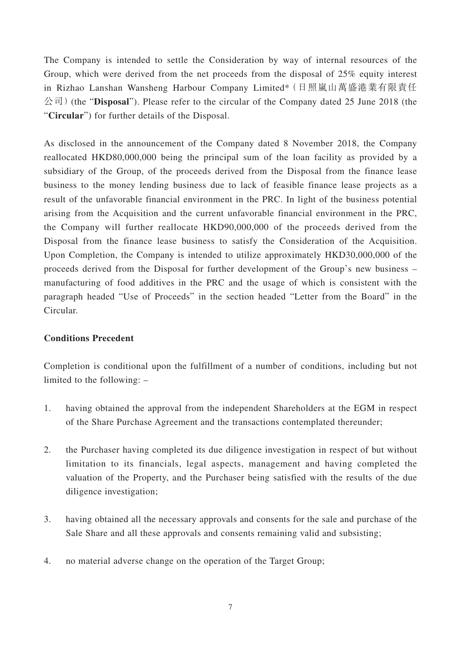The Company is intended to settle the Consideration by way of internal resources of the Group, which were derived from the net proceeds from the disposal of 25% equity interest in Rizhao Lanshan Wansheng Harbour Company Limited\*(日照嵐山萬盛港業有限責任 公司)(the "**Disposal**"). Please refer to the circular of the Company dated 25 June 2018 (the "**Circular**") for further details of the Disposal.

As disclosed in the announcement of the Company dated 8 November 2018, the Company reallocated HKD80,000,000 being the principal sum of the loan facility as provided by a subsidiary of the Group, of the proceeds derived from the Disposal from the finance lease business to the money lending business due to lack of feasible finance lease projects as a result of the unfavorable financial environment in the PRC. In light of the business potential arising from the Acquisition and the current unfavorable financial environment in the PRC, the Company will further reallocate HKD90,000,000 of the proceeds derived from the Disposal from the finance lease business to satisfy the Consideration of the Acquisition. Upon Completion, the Company is intended to utilize approximately HKD30,000,000 of the proceeds derived from the Disposal for further development of the Group's new business – manufacturing of food additives in the PRC and the usage of which is consistent with the paragraph headed "Use of Proceeds" in the section headed "Letter from the Board" in the Circular.

#### **Conditions Precedent**

Completion is conditional upon the fulfillment of a number of conditions, including but not limited to the following: –

- 1. having obtained the approval from the independent Shareholders at the EGM in respect of the Share Purchase Agreement and the transactions contemplated thereunder;
- 2. the Purchaser having completed its due diligence investigation in respect of but without limitation to its financials, legal aspects, management and having completed the valuation of the Property, and the Purchaser being satisfied with the results of the due diligence investigation;
- 3. having obtained all the necessary approvals and consents for the sale and purchase of the Sale Share and all these approvals and consents remaining valid and subsisting;
- 4. no material adverse change on the operation of the Target Group;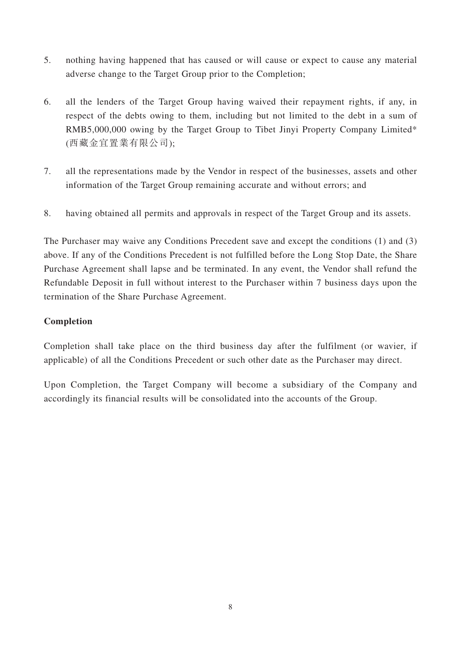- 5. nothing having happened that has caused or will cause or expect to cause any material adverse change to the Target Group prior to the Completion;
- 6. all the lenders of the Target Group having waived their repayment rights, if any, in respect of the debts owing to them, including but not limited to the debt in a sum of RMB5,000,000 owing by the Target Group to Tibet Jinyi Property Company Limited\* (西藏金宜置業有限公司);
- 7. all the representations made by the Vendor in respect of the businesses, assets and other information of the Target Group remaining accurate and without errors; and
- 8. having obtained all permits and approvals in respect of the Target Group and its assets.

The Purchaser may waive any Conditions Precedent save and except the conditions (1) and (3) above. If any of the Conditions Precedent is not fulfilled before the Long Stop Date, the Share Purchase Agreement shall lapse and be terminated. In any event, the Vendor shall refund the Refundable Deposit in full without interest to the Purchaser within 7 business days upon the termination of the Share Purchase Agreement.

#### **Completion**

Completion shall take place on the third business day after the fulfilment (or wavier, if applicable) of all the Conditions Precedent or such other date as the Purchaser may direct.

Upon Completion, the Target Company will become a subsidiary of the Company and accordingly its financial results will be consolidated into the accounts of the Group.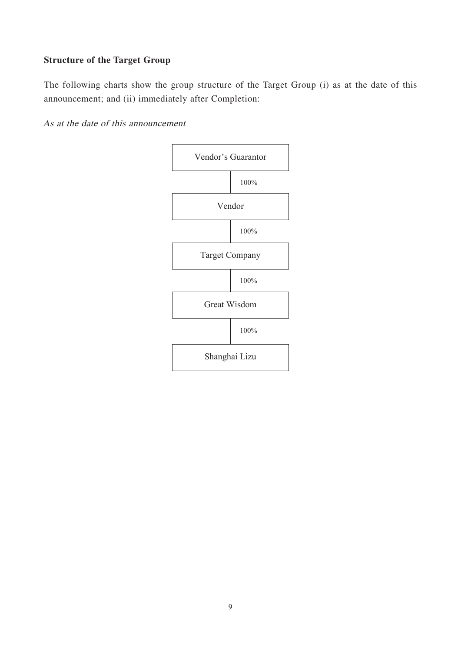### **Structure of the Target Group**

The following charts show the group structure of the Target Group (i) as at the date of this announcement; and (ii) immediately after Completion:

As at the date of this announcement

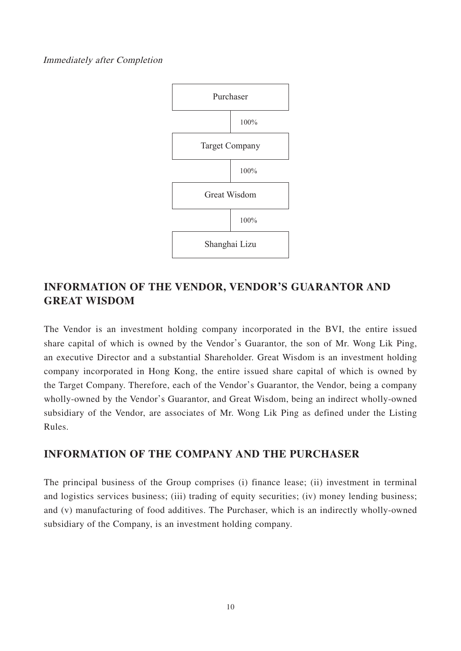#### Immediately after Completion



### **INFORMATION OF THE VENDOR, VENDOR'S GUARANTOR AND GREAT WISDOM**

The Vendor is an investment holding company incorporated in the BVI, the entire issued share capital of which is owned by the Vendor's Guarantor, the son of Mr. Wong Lik Ping, an executive Director and a substantial Shareholder. Great Wisdom is an investment holding company incorporated in Hong Kong, the entire issued share capital of which is owned by the Target Company. Therefore, each of the Vendor's Guarantor, the Vendor, being a company wholly-owned by the Vendor's Guarantor, and Great Wisdom, being an indirect wholly-owned subsidiary of the Vendor, are associates of Mr. Wong Lik Ping as defined under the Listing Rules.

### **INFORMATION OF THE COMPANY AND THE PURCHASER**

The principal business of the Group comprises (i) finance lease; (ii) investment in terminal and logistics services business; (iii) trading of equity securities; (iv) money lending business; and (v) manufacturing of food additives. The Purchaser, which is an indirectly wholly-owned subsidiary of the Company, is an investment holding company.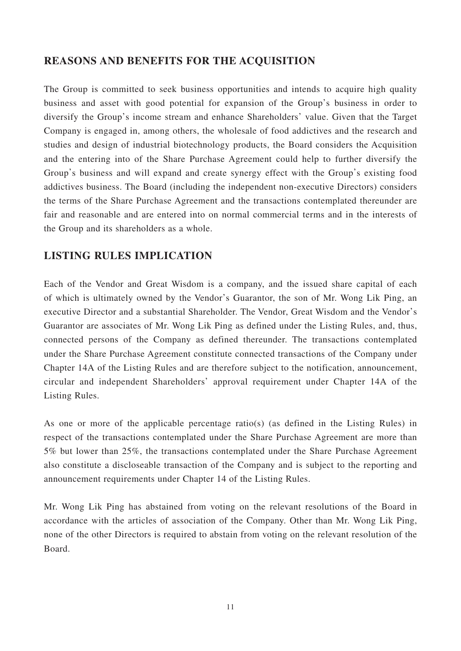### **REASONS AND BENEFITS FOR THE ACQUISITION**

The Group is committed to seek business opportunities and intends to acquire high quality business and asset with good potential for expansion of the Group's business in order to diversify the Group's income stream and enhance Shareholders' value. Given that the Target Company is engaged in, among others, the wholesale of food addictives and the research and studies and design of industrial biotechnology products, the Board considers the Acquisition and the entering into of the Share Purchase Agreement could help to further diversify the Group's business and will expand and create synergy effect with the Group's existing food addictives business. The Board (including the independent non-executive Directors) considers the terms of the Share Purchase Agreement and the transactions contemplated thereunder are fair and reasonable and are entered into on normal commercial terms and in the interests of the Group and its shareholders as a whole.

## **LISTING RULES IMPLICATION**

Each of the Vendor and Great Wisdom is a company, and the issued share capital of each of which is ultimately owned by the Vendor's Guarantor, the son of Mr. Wong Lik Ping, an executive Director and a substantial Shareholder. The Vendor, Great Wisdom and the Vendor's Guarantor are associates of Mr. Wong Lik Ping as defined under the Listing Rules, and, thus, connected persons of the Company as defined thereunder. The transactions contemplated under the Share Purchase Agreement constitute connected transactions of the Company under Chapter 14A of the Listing Rules and are therefore subject to the notification, announcement, circular and independent Shareholders' approval requirement under Chapter 14A of the Listing Rules.

As one or more of the applicable percentage ratio(s) (as defined in the Listing Rules) in respect of the transactions contemplated under the Share Purchase Agreement are more than 5% but lower than 25%, the transactions contemplated under the Share Purchase Agreement also constitute a discloseable transaction of the Company and is subject to the reporting and announcement requirements under Chapter 14 of the Listing Rules.

Mr. Wong Lik Ping has abstained from voting on the relevant resolutions of the Board in accordance with the articles of association of the Company. Other than Mr. Wong Lik Ping, none of the other Directors is required to abstain from voting on the relevant resolution of the Board.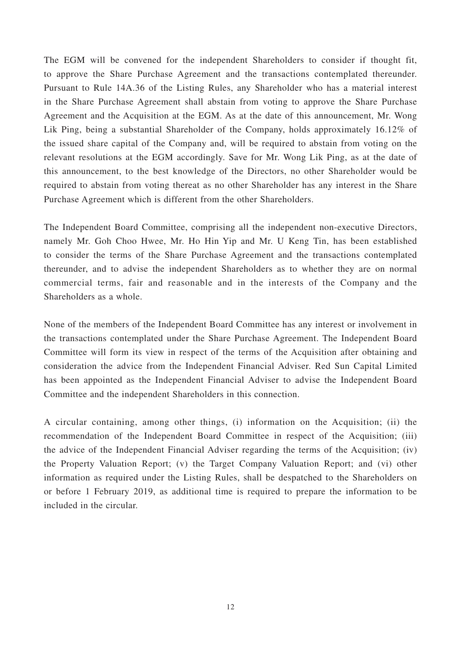The EGM will be convened for the independent Shareholders to consider if thought fit, to approve the Share Purchase Agreement and the transactions contemplated thereunder. Pursuant to Rule 14A.36 of the Listing Rules, any Shareholder who has a material interest in the Share Purchase Agreement shall abstain from voting to approve the Share Purchase Agreement and the Acquisition at the EGM. As at the date of this announcement, Mr. Wong Lik Ping, being a substantial Shareholder of the Company, holds approximately 16.12% of the issued share capital of the Company and, will be required to abstain from voting on the relevant resolutions at the EGM accordingly. Save for Mr. Wong Lik Ping, as at the date of this announcement, to the best knowledge of the Directors, no other Shareholder would be required to abstain from voting thereat as no other Shareholder has any interest in the Share Purchase Agreement which is different from the other Shareholders.

The Independent Board Committee, comprising all the independent non-executive Directors, namely Mr. Goh Choo Hwee, Mr. Ho Hin Yip and Mr. U Keng Tin, has been established to consider the terms of the Share Purchase Agreement and the transactions contemplated thereunder, and to advise the independent Shareholders as to whether they are on normal commercial terms, fair and reasonable and in the interests of the Company and the Shareholders as a whole.

None of the members of the Independent Board Committee has any interest or involvement in the transactions contemplated under the Share Purchase Agreement. The Independent Board Committee will form its view in respect of the terms of the Acquisition after obtaining and consideration the advice from the Independent Financial Adviser. Red Sun Capital Limited has been appointed as the Independent Financial Adviser to advise the Independent Board Committee and the independent Shareholders in this connection.

A circular containing, among other things, (i) information on the Acquisition; (ii) the recommendation of the Independent Board Committee in respect of the Acquisition; (iii) the advice of the Independent Financial Adviser regarding the terms of the Acquisition; (iv) the Property Valuation Report; (v) the Target Company Valuation Report; and (vi) other information as required under the Listing Rules, shall be despatched to the Shareholders on or before 1 February 2019, as additional time is required to prepare the information to be included in the circular.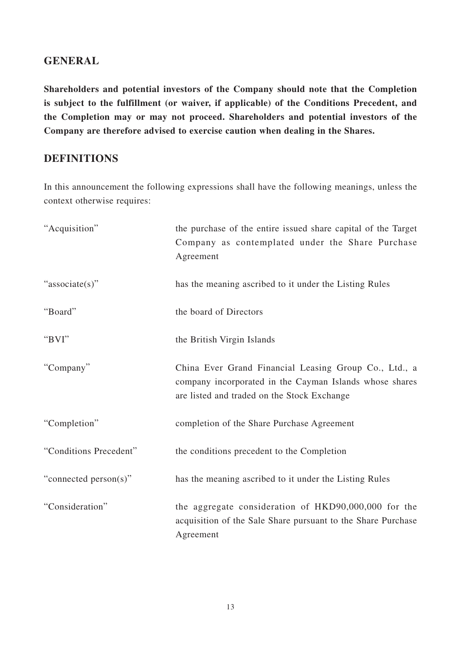### **GENERAL**

**Shareholders and potential investors of the Company should note that the Completion is subject to the fulfillment (or waiver, if applicable) of the Conditions Precedent, and the Completion may or may not proceed. Shareholders and potential investors of the Company are therefore advised to exercise caution when dealing in the Shares.**

### **DEFINITIONS**

In this announcement the following expressions shall have the following meanings, unless the context otherwise requires:

| "Acquisition"          | the purchase of the entire issued share capital of the Target<br>Company as contemplated under the Share Purchase<br>Agreement                                  |
|------------------------|-----------------------------------------------------------------------------------------------------------------------------------------------------------------|
| "associate(s)"         | has the meaning ascribed to it under the Listing Rules                                                                                                          |
| "Board"                | the board of Directors                                                                                                                                          |
| "BVI"                  | the British Virgin Islands                                                                                                                                      |
| "Company"              | China Ever Grand Financial Leasing Group Co., Ltd., a<br>company incorporated in the Cayman Islands whose shares<br>are listed and traded on the Stock Exchange |
| "Completion"           | completion of the Share Purchase Agreement                                                                                                                      |
| "Conditions Precedent" | the conditions precedent to the Completion                                                                                                                      |
| "connected person(s)"  | has the meaning ascribed to it under the Listing Rules                                                                                                          |
| "Consideration"        | the aggregate consideration of HKD90,000,000 for the<br>acquisition of the Sale Share pursuant to the Share Purchase<br>Agreement                               |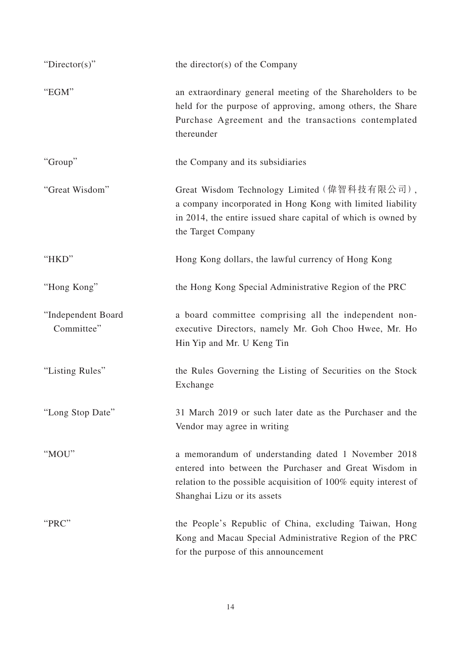| " $Directory$ "                  | the director(s) of the Company                                                                                                                                                                                  |
|----------------------------------|-----------------------------------------------------------------------------------------------------------------------------------------------------------------------------------------------------------------|
| "EGM"                            | an extraordinary general meeting of the Shareholders to be<br>held for the purpose of approving, among others, the Share<br>Purchase Agreement and the transactions contemplated<br>thereunder                  |
| "Group"                          | the Company and its subsidiaries                                                                                                                                                                                |
| "Great Wisdom"                   | Great Wisdom Technology Limited (偉智科技有限公司),<br>a company incorporated in Hong Kong with limited liability<br>in 2014, the entire issued share capital of which is owned by<br>the Target Company                |
| "HKD"                            | Hong Kong dollars, the lawful currency of Hong Kong                                                                                                                                                             |
| "Hong Kong"                      | the Hong Kong Special Administrative Region of the PRC                                                                                                                                                          |
| "Independent Board<br>Committee" | a board committee comprising all the independent non-<br>executive Directors, namely Mr. Goh Choo Hwee, Mr. Ho<br>Hin Yip and Mr. U Keng Tin                                                                    |
| "Listing Rules"                  | the Rules Governing the Listing of Securities on the Stock<br>Exchange                                                                                                                                          |
| "Long Stop Date"                 | 31 March 2019 or such later date as the Purchaser and the<br>Vendor may agree in writing                                                                                                                        |
| "MOU"                            | a memorandum of understanding dated 1 November 2018<br>entered into between the Purchaser and Great Wisdom in<br>relation to the possible acquisition of 100% equity interest of<br>Shanghai Lizu or its assets |
| "PRC"                            | the People's Republic of China, excluding Taiwan, Hong<br>Kong and Macau Special Administrative Region of the PRC<br>for the purpose of this announcement                                                       |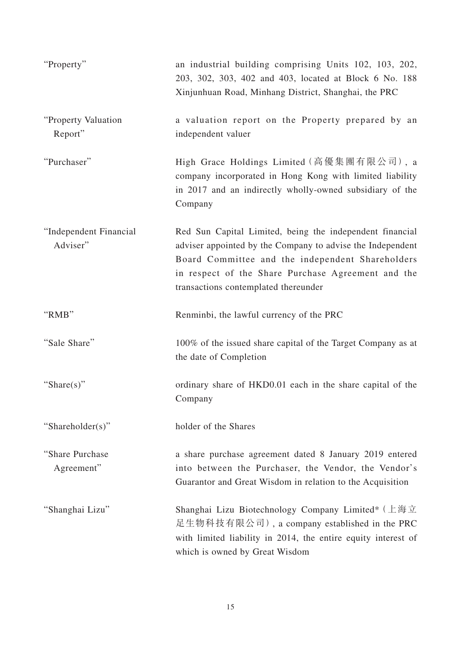| "Property"                         | an industrial building comprising Units 102, 103, 202,<br>203, 302, 303, 402 and 403, located at Block 6 No. 188<br>Xinjunhuan Road, Minhang District, Shanghai, the PRC                                                                                                 |
|------------------------------------|--------------------------------------------------------------------------------------------------------------------------------------------------------------------------------------------------------------------------------------------------------------------------|
| "Property Valuation"<br>Report"    | a valuation report on the Property prepared by an<br>independent valuer                                                                                                                                                                                                  |
| "Purchaser"                        | High Grace Holdings Limited (高優集團有限公司), a<br>company incorporated in Hong Kong with limited liability<br>in 2017 and an indirectly wholly-owned subsidiary of the<br>Company                                                                                             |
| "Independent Financial<br>Adviser" | Red Sun Capital Limited, being the independent financial<br>adviser appointed by the Company to advise the Independent<br>Board Committee and the independent Shareholders<br>in respect of the Share Purchase Agreement and the<br>transactions contemplated thereunder |
| "RMB"                              | Renminbi, the lawful currency of the PRC                                                                                                                                                                                                                                 |
| "Sale Share"                       | 100% of the issued share capital of the Target Company as at<br>the date of Completion                                                                                                                                                                                   |
| "Share(s)"                         | ordinary share of HKD0.01 each in the share capital of the<br>Company                                                                                                                                                                                                    |
| "Shareholder(s)"                   | holder of the Shares                                                                                                                                                                                                                                                     |
| "Share Purchase"<br>Agreement"     | a share purchase agreement dated 8 January 2019 entered<br>into between the Purchaser, the Vendor, the Vendor's<br>Guarantor and Great Wisdom in relation to the Acquisition                                                                                             |
| "Shanghai Lizu"                    | Shanghai Lizu Biotechnology Company Limited* (上海立<br>足生物科技有限公司), a company established in the PRC<br>with limited liability in 2014, the entire equity interest of<br>which is owned by Great Wisdom                                                                     |